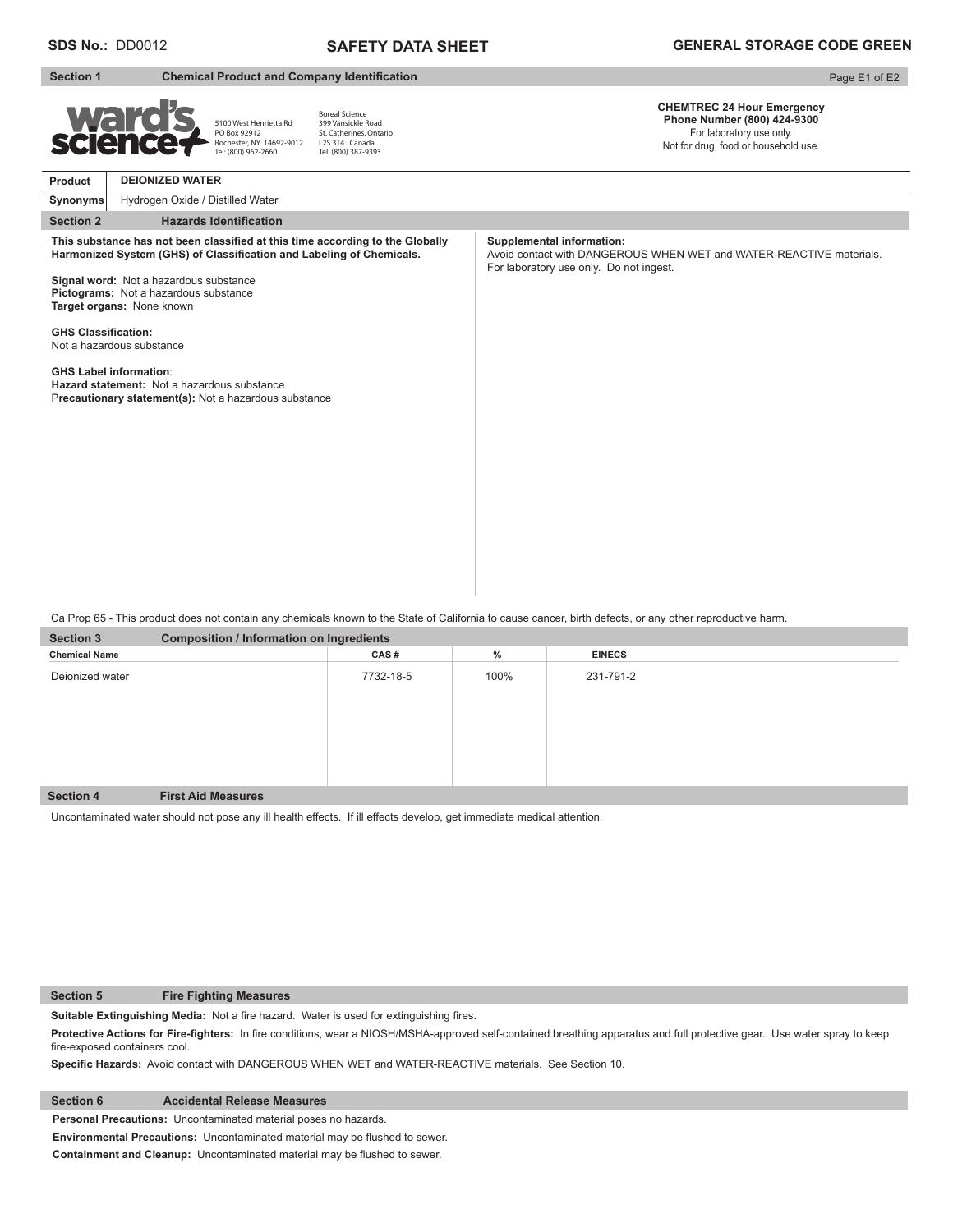# **SAFETY DATA SHEET**

### **Section 2** Hazards Identification **Product CHEMTREC 24 Hour Emergency Phone Number (800) 424-9300**  For laboratory use only. Not for drug, food or household use. **Section 1** Chemical Product and Company Identification **Synonyms** Page E1 of E2 **DEIONIZED WATER** Hydrogen Oxide / Distilled Water This substance has not been classified at this time according to the Globally Harmonized System (GHS) of Classification and Labeling of Chemicals. **Signal word:** Not a hazardous substance **Pictograms:** Not a hazardous substance **Target organs:** None known **GHS Classification:** Not a hazardous substance **GHS Label information**: **Hazard statement:** Not a hazardous substance P**recautionary statement(s):** Not a hazardous substance **Supplemental information:** Avoid contact with DANGEROUS WHEN WET and WATER-REACTIVE materials. For laboratory use only. Do not ingest. 5100 West Henrietta Rd PO Box 92912 Rochester, NY 14692-9012 Tel: (800) 962-2660 Boreal Science 399 Vansickle Road St. Catherines, Ontario L<sub>2S</sub> 3T4 Canada Tel: (800) 387-9393

Ca Prop 65 - This product does not contain any chemicals known to the State of California to cause cancer, birth defects, or any other reproductive harm.

| <b>Section 3</b>     | <b>Composition / Information on Ingredients</b> |           |      |               |  |  |
|----------------------|-------------------------------------------------|-----------|------|---------------|--|--|
| <b>Chemical Name</b> |                                                 | CAS#      | $\%$ | <b>EINECS</b> |  |  |
| Deionized water      |                                                 | 7732-18-5 | 100% | 231-791-2     |  |  |
| <b>Section 4</b>     | <b>First Aid Measures</b>                       |           |      |               |  |  |

Uncontaminated water should not pose any ill health effects. If ill effects develop, get immediate medical attention.

**Section 5 Fire Fighting Measures**

Suitable Extinguishing Media: Not a fire hazard. Water is used for extinguishing fires.

Protective Actions for Fire-fighters: In fire conditions, wear a NIOSH/MSHA-approved self-contained breathing apparatus and full protective gear. Use water spray to keep fire-exposed containers cool.

Specific Hazards: Avoid contact with DANGEROUS WHEN WET and WATER-REACTIVE materials. See Section 10.

**Section 6 Accidental Release Measures**

**Personal Precautions:** Uncontaminated material poses no hazards.

**Environmental Precautions:** Uncontaminated material may be flushed to sewer.

**Containment and Cleanup:** Uncontaminated material may be flushed to sewer.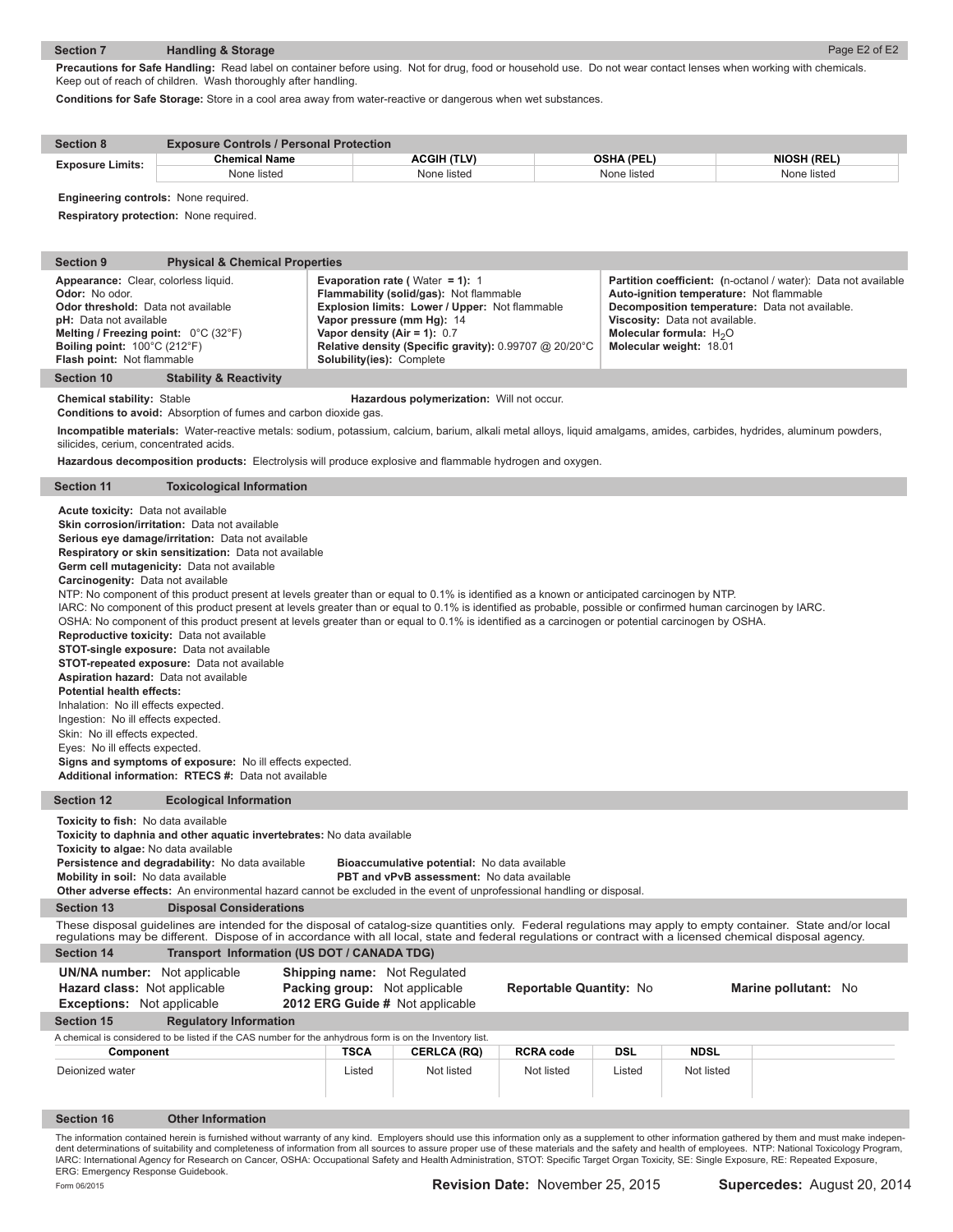# **Section 7 Handling & Storage**

Precautions for Safe Handling: Read label on container before using. Not for drug, food or household use. Do not wear contact lenses when working with chemicals. Keep out of reach of children. Wash thoroughly after handling.

**Conditions for Safe Storage:** Store in a cool area away from water-reactive or dangerous when wet substances.

| <b>Section 8</b>        | <b>Exposure Controls / Personal Protection</b> |             |             |                    |  |  |
|-------------------------|------------------------------------------------|-------------|-------------|--------------------|--|--|
| <b>Exposure Limits:</b> | <b>Chemical Name</b>                           | ACGIH (TLV) | OSHA (PEL)  | <b>NIOSH (REL)</b> |  |  |
|                         | None listed                                    | None listed | None listed | None listed        |  |  |

**Engineering controls:** None required.

I

I

**Respiratory protection:** None required.

| <b>Section 9</b><br><b>Physical &amp; Chemical Properties</b>                                                                                                                                                                                                                                                                                                                                                                                                                                                                                                                                                                                                                                                                                                                                                                                                                                                                                                                                                                              |                                                                                                         |                                                                                                                                                                                               |                         |            |                                                                                                                                                                                                                                                                         |                      |  |  |
|--------------------------------------------------------------------------------------------------------------------------------------------------------------------------------------------------------------------------------------------------------------------------------------------------------------------------------------------------------------------------------------------------------------------------------------------------------------------------------------------------------------------------------------------------------------------------------------------------------------------------------------------------------------------------------------------------------------------------------------------------------------------------------------------------------------------------------------------------------------------------------------------------------------------------------------------------------------------------------------------------------------------------------------------|---------------------------------------------------------------------------------------------------------|-----------------------------------------------------------------------------------------------------------------------------------------------------------------------------------------------|-------------------------|------------|-------------------------------------------------------------------------------------------------------------------------------------------------------------------------------------------------------------------------------------------------------------------------|----------------------|--|--|
| Appearance: Clear, colorless liquid.<br>Odor: No odor.<br><b>Odor threshold:</b> Data not available<br>pH: Data not available<br>Melting / Freezing point: $0^{\circ}$ C (32 $^{\circ}$ F)<br>Boiling point: $100^{\circ}$ C (212 $^{\circ}$ F)<br>Flash point: Not flammable                                                                                                                                                                                                                                                                                                                                                                                                                                                                                                                                                                                                                                                                                                                                                              | Vapor pressure (mm Hg): 14<br>Vapor density (Air = 1): $0.7$<br><b>Solubility(ies): Complete</b>        | <b>Evaporation rate (Water = 1): 1</b><br>Flammability (solid/gas): Not flammable<br>Explosion limits: Lower / Upper: Not flammable<br>Relative density (Specific gravity): 0.99707 @ 20/20°C |                         |            | <b>Partition coefficient:</b> (n-octanol / water): Data not available<br>Auto-ignition temperature: Not flammable<br>Decomposition temperature: Data not available.<br>Viscosity: Data not available.<br>Molecular formula: H <sub>2</sub> O<br>Molecular weight: 18.01 |                      |  |  |
| <b>Section 10</b><br><b>Stability &amp; Reactivity</b>                                                                                                                                                                                                                                                                                                                                                                                                                                                                                                                                                                                                                                                                                                                                                                                                                                                                                                                                                                                     |                                                                                                         |                                                                                                                                                                                               |                         |            |                                                                                                                                                                                                                                                                         |                      |  |  |
| <b>Chemical stability: Stable</b><br>Conditions to avoid: Absorption of fumes and carbon dioxide gas.                                                                                                                                                                                                                                                                                                                                                                                                                                                                                                                                                                                                                                                                                                                                                                                                                                                                                                                                      |                                                                                                         | Hazardous polymerization: Will not occur.                                                                                                                                                     |                         |            |                                                                                                                                                                                                                                                                         |                      |  |  |
| Incompatible materials: Water-reactive metals: sodium, potassium, calcium, barium, alkali metal alloys, liquid amalgams, amides, carbides, hydrides, aluminum powders,<br>silicides, cerium, concentrated acids.                                                                                                                                                                                                                                                                                                                                                                                                                                                                                                                                                                                                                                                                                                                                                                                                                           |                                                                                                         |                                                                                                                                                                                               |                         |            |                                                                                                                                                                                                                                                                         |                      |  |  |
| Hazardous decomposition products: Electrolysis will produce explosive and flammable hydrogen and oxygen.                                                                                                                                                                                                                                                                                                                                                                                                                                                                                                                                                                                                                                                                                                                                                                                                                                                                                                                                   |                                                                                                         |                                                                                                                                                                                               |                         |            |                                                                                                                                                                                                                                                                         |                      |  |  |
| <b>Section 11</b><br><b>Toxicological Information</b>                                                                                                                                                                                                                                                                                                                                                                                                                                                                                                                                                                                                                                                                                                                                                                                                                                                                                                                                                                                      |                                                                                                         |                                                                                                                                                                                               |                         |            |                                                                                                                                                                                                                                                                         |                      |  |  |
| Serious eye damage/irritation: Data not available<br>Respiratory or skin sensitization: Data not available<br>Germ cell mutagenicity: Data not available<br>Carcinogenity: Data not available<br>NTP: No component of this product present at levels greater than or equal to 0.1% is identified as a known or anticipated carcinogen by NTP.<br>IARC: No component of this product present at levels greater than or equal to 0.1% is identified as probable, possible or confirmed human carcinogen by IARC.<br>OSHA: No component of this product present at levels greater than or equal to 0.1% is identified as a carcinogen or potential carcinogen by OSHA.<br>Reproductive toxicity: Data not available<br>STOT-single exposure: Data not available<br>STOT-repeated exposure: Data not available<br>Aspiration hazard: Data not available<br><b>Potential health effects:</b><br>Inhalation: No ill effects expected.<br>Ingestion: No ill effects expected.<br>Skin: No ill effects expected.<br>Eyes: No ill effects expected. |                                                                                                         |                                                                                                                                                                                               |                         |            |                                                                                                                                                                                                                                                                         |                      |  |  |
| Additional information: RTECS #: Data not available                                                                                                                                                                                                                                                                                                                                                                                                                                                                                                                                                                                                                                                                                                                                                                                                                                                                                                                                                                                        |                                                                                                         |                                                                                                                                                                                               |                         |            |                                                                                                                                                                                                                                                                         |                      |  |  |
| <b>Section 12</b><br><b>Ecological Information</b>                                                                                                                                                                                                                                                                                                                                                                                                                                                                                                                                                                                                                                                                                                                                                                                                                                                                                                                                                                                         |                                                                                                         |                                                                                                                                                                                               |                         |            |                                                                                                                                                                                                                                                                         |                      |  |  |
| <b>Toxicity to fish:</b> No data available<br>Toxicity to daphnia and other aquatic invertebrates: No data available<br>Toxicity to algae: No data available<br>Persistence and degradability: No data available<br>Bioaccumulative potential: No data available<br>Mobility in soil: No data available<br><b>PBT and vPvB assessment:</b> No data available<br>Other adverse effects: An environmental hazard cannot be excluded in the event of unprofessional handling or disposal.<br><b>Section 13</b><br><b>Disposal Considerations</b><br>These disposal guidelines are intended for the disposal of catalog-size quantities only. Federal regulations may apply to empty container. State and/or local                                                                                                                                                                                                                                                                                                                             |                                                                                                         |                                                                                                                                                                                               |                         |            |                                                                                                                                                                                                                                                                         |                      |  |  |
| regulations may be different. Dispose of in accordance with all local, state and federal regulations or contract with a licensed chemical disposal agency.                                                                                                                                                                                                                                                                                                                                                                                                                                                                                                                                                                                                                                                                                                                                                                                                                                                                                 |                                                                                                         |                                                                                                                                                                                               |                         |            |                                                                                                                                                                                                                                                                         |                      |  |  |
| <b>Section 14</b>                                                                                                                                                                                                                                                                                                                                                                                                                                                                                                                                                                                                                                                                                                                                                                                                                                                                                                                                                                                                                          | Transport Information (US DOT / CANADA TDG)                                                             |                                                                                                                                                                                               |                         |            |                                                                                                                                                                                                                                                                         |                      |  |  |
| <b>UN/NA number:</b> Not applicable<br>Hazard class: Not applicable<br><b>Exceptions:</b> Not applicable                                                                                                                                                                                                                                                                                                                                                                                                                                                                                                                                                                                                                                                                                                                                                                                                                                                                                                                                   | <b>Shipping name:</b> Not Regulated<br>Packing group: Not applicable<br>2012 ERG Guide # Not applicable |                                                                                                                                                                                               | Reportable Quantity: No |            |                                                                                                                                                                                                                                                                         | Marine pollutant: No |  |  |
| <b>Section 15</b><br><b>Regulatory Information</b>                                                                                                                                                                                                                                                                                                                                                                                                                                                                                                                                                                                                                                                                                                                                                                                                                                                                                                                                                                                         |                                                                                                         |                                                                                                                                                                                               |                         |            |                                                                                                                                                                                                                                                                         |                      |  |  |
| A chemical is considered to be listed if the CAS number for the anhydrous form is on the Inventory list.                                                                                                                                                                                                                                                                                                                                                                                                                                                                                                                                                                                                                                                                                                                                                                                                                                                                                                                                   |                                                                                                         |                                                                                                                                                                                               |                         |            |                                                                                                                                                                                                                                                                         |                      |  |  |
| Component                                                                                                                                                                                                                                                                                                                                                                                                                                                                                                                                                                                                                                                                                                                                                                                                                                                                                                                                                                                                                                  | <b>TSCA</b>                                                                                             | <b>CERLCA (RQ)</b>                                                                                                                                                                            | <b>RCRA code</b>        | <b>DSL</b> | <b>NDSL</b>                                                                                                                                                                                                                                                             |                      |  |  |
| Deionized water                                                                                                                                                                                                                                                                                                                                                                                                                                                                                                                                                                                                                                                                                                                                                                                                                                                                                                                                                                                                                            | Listed                                                                                                  | Not listed                                                                                                                                                                                    | Not listed              | Listed     | Not listed                                                                                                                                                                                                                                                              |                      |  |  |
| <b>Section 16</b><br><b>Other Information</b>                                                                                                                                                                                                                                                                                                                                                                                                                                                                                                                                                                                                                                                                                                                                                                                                                                                                                                                                                                                              |                                                                                                         |                                                                                                                                                                                               |                         |            |                                                                                                                                                                                                                                                                         |                      |  |  |
| The information contained herein is furnished without warranty of any kind. Employers should use this information only as a supplement to other information gathered by them and must make indepen-<br>dent determinations of suitability and completeness of information from all sources to assure proper use of these materials and the safety and health of employees. NTP: National Toxicology Program,<br>IARC: International Agency for Research on Cancer, OSHA: Occupational Safety and Health Administration, STOT: Specific Target Organ Toxicity, SE: Single Exposure, RE: Repeated Exposure,<br>ERG: Emergency Response Guidebook.                                                                                                                                                                                                                                                                                                                                                                                            |                                                                                                         |                                                                                                                                                                                               |                         |            |                                                                                                                                                                                                                                                                         |                      |  |  |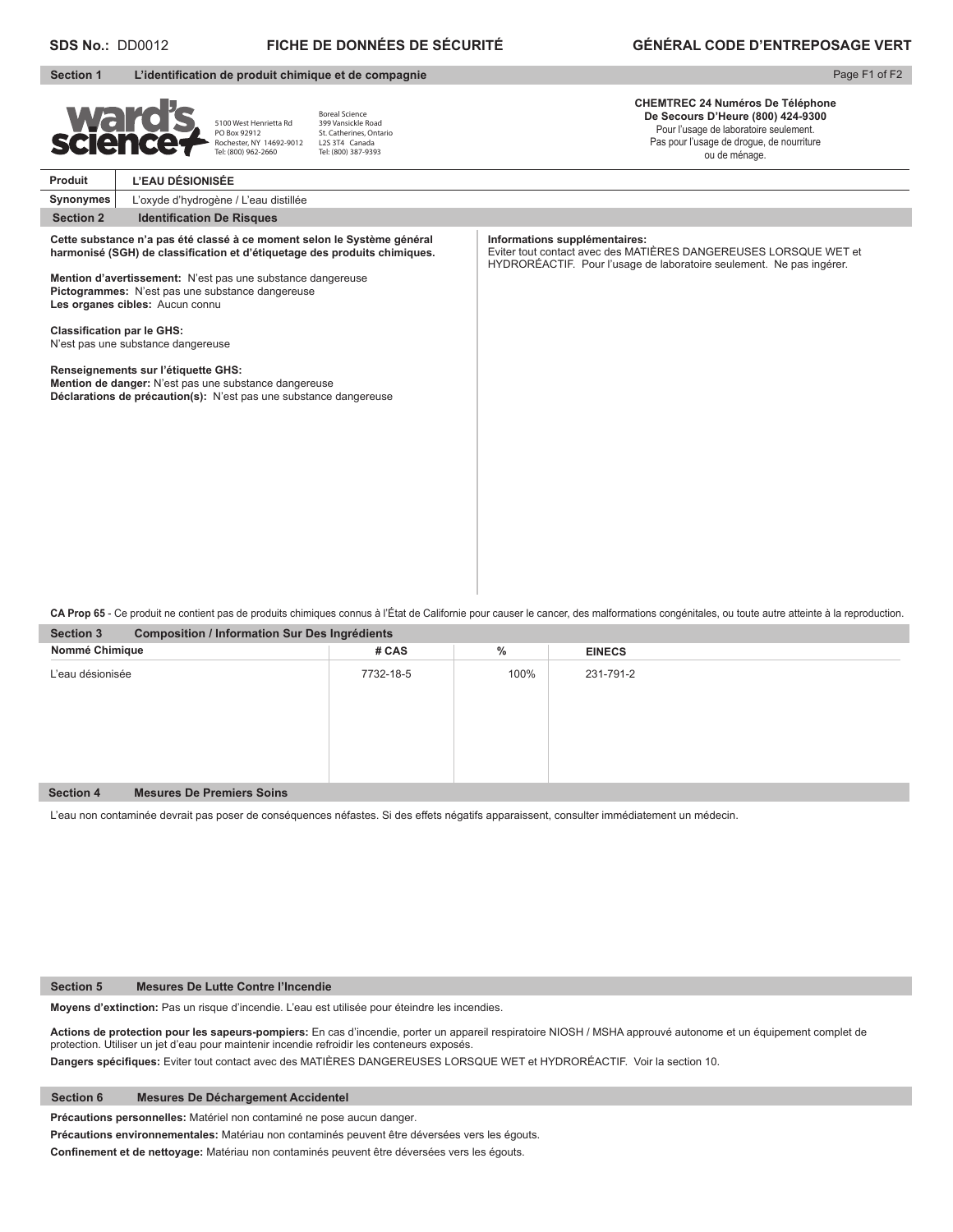|                  | <b>FICHE DE DONNÉES DE SÉCURITÉ</b><br><b>SDS No.: DD0012</b>                                                                                     |                                                                                                                                                                                                                                               |                                                                                                                                                      | <b>GÉNÉRAL CODE D'ENTREPOSAGE VERT</b>                                                                                                                                               |  |  |  |  |
|------------------|---------------------------------------------------------------------------------------------------------------------------------------------------|-----------------------------------------------------------------------------------------------------------------------------------------------------------------------------------------------------------------------------------------------|------------------------------------------------------------------------------------------------------------------------------------------------------|--------------------------------------------------------------------------------------------------------------------------------------------------------------------------------------|--|--|--|--|
| <b>Section 1</b> |                                                                                                                                                   |                                                                                                                                                                                                                                               | L'identification de produit chimique et de compagnie                                                                                                 | Page F1 of F2                                                                                                                                                                        |  |  |  |  |
| <b>Ward</b>      |                                                                                                                                                   | 5100 West Henrietta Rd<br>PO Box 92912<br>Rochester, NY 14692-9012<br>Tel: (800) 962-2660                                                                                                                                                     | <b>Boreal Science</b><br>399 Vansickle Road<br>St. Catherines, Ontario<br>L2S 3T4 Canada<br>Tel: (800) 387-9393                                      | <b>CHEMTREC 24 Numéros De Téléphone</b><br>De Secours D'Heure (800) 424-9300<br>Pour l'usage de laboratoire seulement.<br>Pas pour l'usage de drogue, de nourriture<br>ou de ménage. |  |  |  |  |
| Produit          | L'EAU DÉSIONISÉE                                                                                                                                  |                                                                                                                                                                                                                                               |                                                                                                                                                      |                                                                                                                                                                                      |  |  |  |  |
| Synonymes        |                                                                                                                                                   | L'oxyde d'hydrogène / L'eau distillée                                                                                                                                                                                                         |                                                                                                                                                      |                                                                                                                                                                                      |  |  |  |  |
| <b>Section 2</b> | <b>Identification De Risques</b>                                                                                                                  |                                                                                                                                                                                                                                               |                                                                                                                                                      |                                                                                                                                                                                      |  |  |  |  |
|                  | Les organes cibles: Aucun connu<br><b>Classification par le GHS:</b><br>N'est pas une substance dangereuse<br>Renseignements sur l'étiquette GHS: | Mention d'avertissement: N'est pas une substance dangereuse<br>Pictogrammes: N'est pas une substance dangereuse<br>Mention de danger: N'est pas une substance dangereuse<br>Déclarations de précaution(s): N'est pas une substance dangereuse | Cette substance n'a pas été classé à ce moment selon le Système général<br>harmonisé (SGH) de classification et d'étiquetage des produits chimiques. | Informations supplémentaires:<br>Eviter tout contact avec des MATIÈRES DANGEREUSES LORSQUE WET et<br>HYDRORÉACTIF. Pour l'usage de laboratoire seulement. Ne pas ingérer.            |  |  |  |  |

**Section 3 Composition / Information Sur Des Ingrédients CA Prop 65** - Ce produit ne contient pas de produits chimiques connus à l'État de Californie pour causer le cancer, des malformations congénitales, ou toute autre atteinte à la reproduction.

| <b>OCCLIOII</b><br><b>Proprietion</b> / Information our Des ingredients |           |      |               |  |  |  |  |
|-------------------------------------------------------------------------|-----------|------|---------------|--|--|--|--|
| Nommé Chimique                                                          | # CAS     | $\%$ | <b>EINECS</b> |  |  |  |  |
| L'eau désionisée                                                        | 7732-18-5 | 100% | 231-791-2     |  |  |  |  |
|                                                                         |           |      |               |  |  |  |  |
|                                                                         |           |      |               |  |  |  |  |
|                                                                         |           |      |               |  |  |  |  |
|                                                                         |           |      |               |  |  |  |  |
|                                                                         |           |      |               |  |  |  |  |
|                                                                         |           |      |               |  |  |  |  |
| <b>Mesures De Premiers Soins</b><br><b>Section 4</b>                    |           |      |               |  |  |  |  |

L'eau non contaminée devrait pas poser de conséquences néfastes. Si des effets négatifs apparaissent, consulter immédiatement un médecin.

#### **Section 5 Mesures De Lutte Contre l'Incendie**

**Moyens d'extinction:** Pas un risque d'incendie. L'eau est utilisée pour éteindre les incendies.

**Actions de protection pour les sapeurs-pompiers:** En cas d'incendie, porter un appareil respiratoire NIOSH / MSHA approuvé autonome et un équipement complet de protection. Utiliser un jet d'eau pour maintenir incendie refroidir les conteneurs exposés.

Dangers spécifiques: Eviter tout contact avec des MATIÈRES DANGEREUSES LORSQUE WET et HYDRORÉACTIF. Voir la section 10.

## **Section 6 Mesures De Déchargement Accidentel**

**Précautions personnelles:** Matériel non contaminé ne pose aucun danger.

**Précautions environnementales:** Matériau non contaminés peuvent être déversées vers les égouts.

Confinement et de nettoyage: Matériau non contaminés peuvent être déversées vers les égouts.